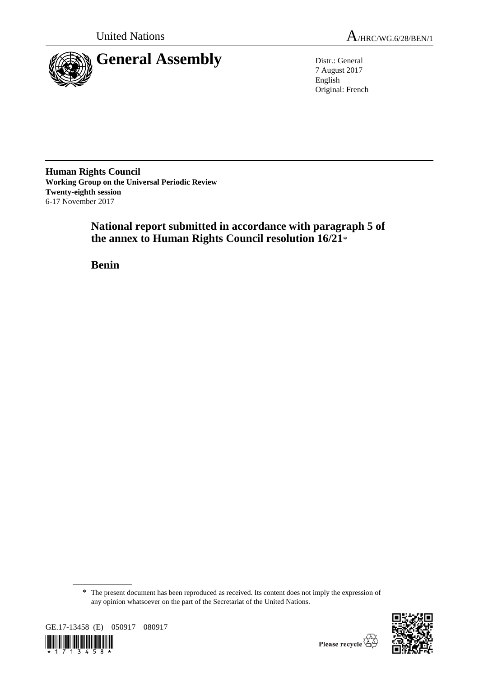

7 August 2017 English Original: French

**Human Rights Council Working Group on the Universal Periodic Review Twenty-eighth session** 6-17 November 2017

> **National report submitted in accordance with paragraph 5 of the annex to Human Rights Council resolution 16/21**\*

**Benin**

<sup>\*</sup> The present document has been reproduced as received. Its content does not imply the expression of any opinion whatsoever on the part of the Secretariat of the United Nations.



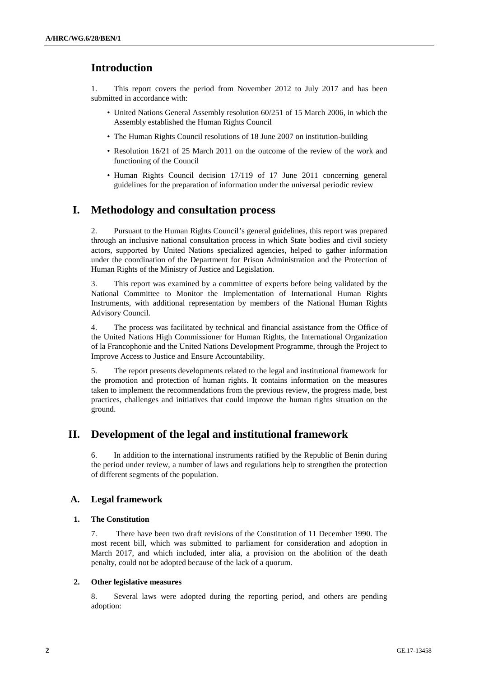# **Introduction**

1. This report covers the period from November 2012 to July 2017 and has been submitted in accordance with:

- United Nations General Assembly resolution 60/251 of 15 March 2006, in which the Assembly established the Human Rights Council
- The Human Rights Council resolutions of 18 June 2007 on institution-building
- Resolution 16/21 of 25 March 2011 on the outcome of the review of the work and functioning of the Council
- Human Rights Council decision 17/119 of 17 June 2011 concerning general guidelines for the preparation of information under the universal periodic review

# **I. Methodology and consultation process**

2. Pursuant to the Human Rights Council's general guidelines, this report was prepared through an inclusive national consultation process in which State bodies and civil society actors, supported by United Nations specialized agencies, helped to gather information under the coordination of the Department for Prison Administration and the Protection of Human Rights of the Ministry of Justice and Legislation.

3. This report was examined by a committee of experts before being validated by the National Committee to Monitor the Implementation of International Human Rights Instruments, with additional representation by members of the National Human Rights Advisory Council.

4. The process was facilitated by technical and financial assistance from the Office of the United Nations High Commissioner for Human Rights, the International Organization of la Francophonie and the United Nations Development Programme, through the Project to Improve Access to Justice and Ensure Accountability.

5. The report presents developments related to the legal and institutional framework for the promotion and protection of human rights. It contains information on the measures taken to implement the recommendations from the previous review, the progress made, best practices, challenges and initiatives that could improve the human rights situation on the ground.

# **II. Development of the legal and institutional framework**

6. In addition to the international instruments ratified by the Republic of Benin during the period under review, a number of laws and regulations help to strengthen the protection of different segments of the population.

## **A. Legal framework**

## **1. The Constitution**

7. There have been two draft revisions of the Constitution of 11 December 1990. The most recent bill, which was submitted to parliament for consideration and adoption in March 2017, and which included, inter alia, a provision on the abolition of the death penalty, could not be adopted because of the lack of a quorum.

## **2. Other legislative measures**

8. Several laws were adopted during the reporting period, and others are pending adoption: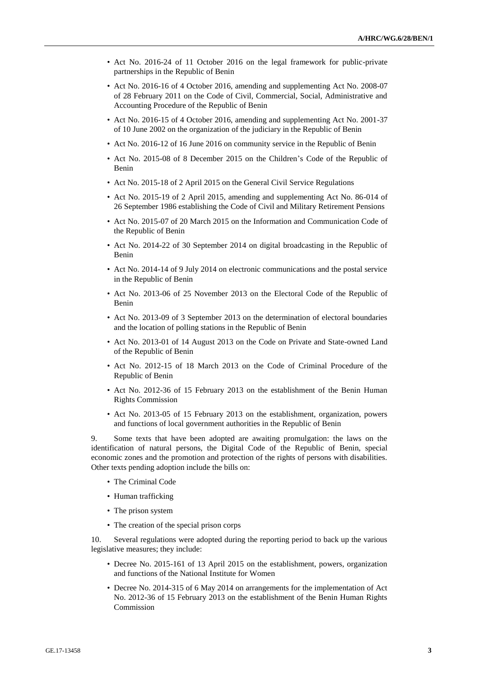- Act No. 2016-24 of 11 October 2016 on the legal framework for public-private partnerships in the Republic of Benin
- Act No. 2016-16 of 4 October 2016, amending and supplementing Act No. 2008-07 of 28 February 2011 on the Code of Civil, Commercial, Social, Administrative and Accounting Procedure of the Republic of Benin
- Act No. 2016-15 of 4 October 2016, amending and supplementing Act No. 2001-37 of 10 June 2002 on the organization of the judiciary in the Republic of Benin
- Act No. 2016-12 of 16 June 2016 on community service in the Republic of Benin
- Act No. 2015-08 of 8 December 2015 on the Children's Code of the Republic of Benin
- Act No. 2015-18 of 2 April 2015 on the General Civil Service Regulations
- Act No. 2015-19 of 2 April 2015, amending and supplementing Act No. 86-014 of 26 September 1986 establishing the Code of Civil and Military Retirement Pensions
- Act No. 2015-07 of 20 March 2015 on the Information and Communication Code of the Republic of Benin
- Act No. 2014-22 of 30 September 2014 on digital broadcasting in the Republic of Benin
- Act No. 2014-14 of 9 July 2014 on electronic communications and the postal service in the Republic of Benin
- Act No. 2013-06 of 25 November 2013 on the Electoral Code of the Republic of Benin
- Act No. 2013-09 of 3 September 2013 on the determination of electoral boundaries and the location of polling stations in the Republic of Benin
- Act No. 2013-01 of 14 August 2013 on the Code on Private and State-owned Land of the Republic of Benin
- Act No. 2012-15 of 18 March 2013 on the Code of Criminal Procedure of the Republic of Benin
- Act No. 2012-36 of 15 February 2013 on the establishment of the Benin Human Rights Commission
- Act No. 2013-05 of 15 February 2013 on the establishment, organization, powers and functions of local government authorities in the Republic of Benin

9. Some texts that have been adopted are awaiting promulgation: the laws on the identification of natural persons, the Digital Code of the Republic of Benin, special economic zones and the promotion and protection of the rights of persons with disabilities. Other texts pending adoption include the bills on:

- The Criminal Code
- Human trafficking
- The prison system
- The creation of the special prison corps

10. Several regulations were adopted during the reporting period to back up the various legislative measures; they include:

- Decree No. 2015-161 of 13 April 2015 on the establishment, powers, organization and functions of the National Institute for Women
- Decree No. 2014-315 of 6 May 2014 on arrangements for the implementation of Act No. 2012-36 of 15 February 2013 on the establishment of the Benin Human Rights Commission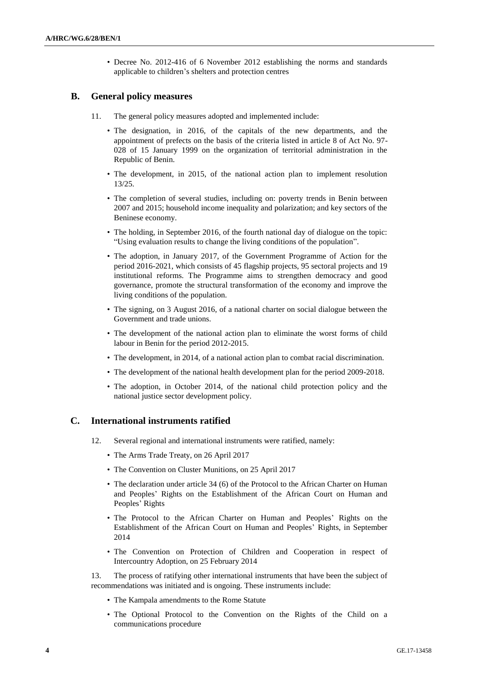• Decree No. 2012-416 of 6 November 2012 establishing the norms and standards applicable to children's shelters and protection centres

## **B. General policy measures**

- 11. The general policy measures adopted and implemented include:
	- The designation, in 2016, of the capitals of the new departments, and the appointment of prefects on the basis of the criteria listed in article 8 of Act No. 97- 028 of 15 January 1999 on the organization of territorial administration in the Republic of Benin.
	- The development, in 2015, of the national action plan to implement resolution 13/25.
	- The completion of several studies, including on: poverty trends in Benin between 2007 and 2015; household income inequality and polarization; and key sectors of the Beninese economy.
	- The holding, in September 2016, of the fourth national day of dialogue on the topic: "Using evaluation results to change the living conditions of the population".
	- The adoption, in January 2017, of the Government Programme of Action for the period 2016-2021, which consists of 45 flagship projects, 95 sectoral projects and 19 institutional reforms. The Programme aims to strengthen democracy and good governance, promote the structural transformation of the economy and improve the living conditions of the population.
	- The signing, on 3 August 2016, of a national charter on social dialogue between the Government and trade unions.
	- The development of the national action plan to eliminate the worst forms of child labour in Benin for the period 2012-2015.
	- The development, in 2014, of a national action plan to combat racial discrimination.
	- The development of the national health development plan for the period 2009-2018.
	- The adoption, in October 2014, of the national child protection policy and the national justice sector development policy.

## **C. International instruments ratified**

- 12. Several regional and international instruments were ratified, namely:
	- The Arms Trade Treaty, on 26 April 2017
	- The Convention on Cluster Munitions, on 25 April 2017
	- The declaration under article 34 (6) of the Protocol to the African Charter on Human and Peoples' Rights on the Establishment of the African Court on Human and Peoples' Rights
	- The Protocol to the African Charter on Human and Peoples' Rights on the Establishment of the African Court on Human and Peoples' Rights, in September 2014
	- The Convention on Protection of Children and Cooperation in respect of Intercountry Adoption, on 25 February 2014

13. The process of ratifying other international instruments that have been the subject of recommendations was initiated and is ongoing. These instruments include:

- The Kampala amendments to the Rome Statute
- The Optional Protocol to the Convention on the Rights of the Child on a communications procedure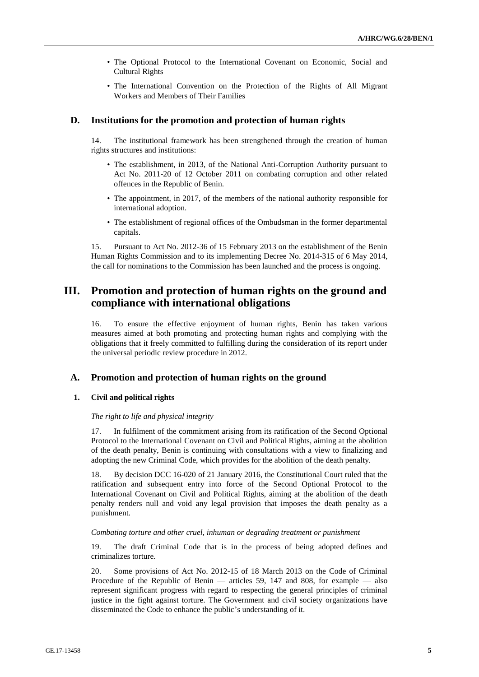- The Optional Protocol to the International Covenant on Economic, Social and Cultural Rights
- The International Convention on the Protection of the Rights of All Migrant Workers and Members of Their Families

## **D. Institutions for the promotion and protection of human rights**

14. The institutional framework has been strengthened through the creation of human rights structures and institutions:

- The establishment, in 2013, of the National Anti-Corruption Authority pursuant to Act No. 2011-20 of 12 October 2011 on combating corruption and other related offences in the Republic of Benin.
- The appointment, in 2017, of the members of the national authority responsible for international adoption.
- The establishment of regional offices of the Ombudsman in the former departmental capitals.

15. Pursuant to Act No. 2012-36 of 15 February 2013 on the establishment of the Benin Human Rights Commission and to its implementing Decree No. 2014-315 of 6 May 2014, the call for nominations to the Commission has been launched and the process is ongoing.

# **III. Promotion and protection of human rights on the ground and compliance with international obligations**

16. To ensure the effective enjoyment of human rights, Benin has taken various measures aimed at both promoting and protecting human rights and complying with the obligations that it freely committed to fulfilling during the consideration of its report under the universal periodic review procedure in 2012.

## **A. Promotion and protection of human rights on the ground**

## **1. Civil and political rights**

#### *The right to life and physical integrity*

17. In fulfilment of the commitment arising from its ratification of the Second Optional Protocol to the International Covenant on Civil and Political Rights, aiming at the abolition of the death penalty, Benin is continuing with consultations with a view to finalizing and adopting the new Criminal Code, which provides for the abolition of the death penalty.

18. By decision DCC 16-020 of 21 January 2016, the Constitutional Court ruled that the ratification and subsequent entry into force of the Second Optional Protocol to the International Covenant on Civil and Political Rights, aiming at the abolition of the death penalty renders null and void any legal provision that imposes the death penalty as a punishment.

### *Combating torture and other cruel, inhuman or degrading treatment or punishment*

19. The draft Criminal Code that is in the process of being adopted defines and criminalizes torture.

20. Some provisions of Act No. 2012-15 of 18 March 2013 on the Code of Criminal Procedure of the Republic of Benin — articles 59, 147 and 808, for example — also represent significant progress with regard to respecting the general principles of criminal justice in the fight against torture. The Government and civil society organizations have disseminated the Code to enhance the public's understanding of it.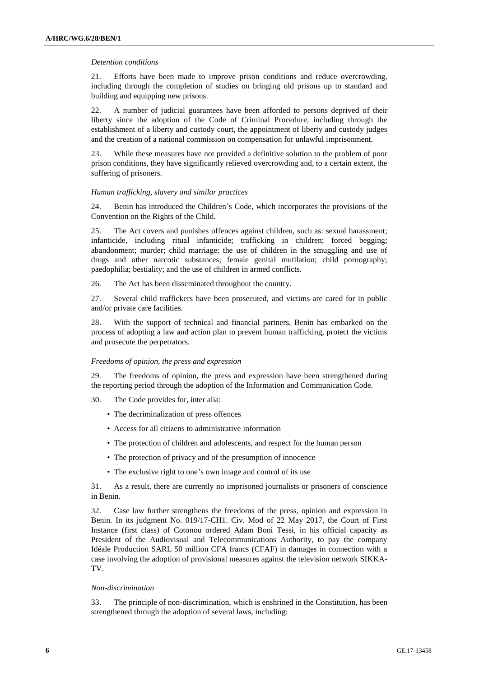#### *Detention conditions*

21. Efforts have been made to improve prison conditions and reduce overcrowding, including through the completion of studies on bringing old prisons up to standard and building and equipping new prisons.

22. A number of judicial guarantees have been afforded to persons deprived of their liberty since the adoption of the Code of Criminal Procedure, including through the establishment of a liberty and custody court, the appointment of liberty and custody judges and the creation of a national commission on compensation for unlawful imprisonment.

23. While these measures have not provided a definitive solution to the problem of poor prison conditions, they have significantly relieved overcrowding and, to a certain extent, the suffering of prisoners.

#### *Human trafficking, slavery and similar practices*

24. Benin has introduced the Children's Code, which incorporates the provisions of the Convention on the Rights of the Child.

25. The Act covers and punishes offences against children, such as: sexual harassment; infanticide, including ritual infanticide; trafficking in children; forced begging; abandonment; murder; child marriage; the use of children in the smuggling and use of drugs and other narcotic substances; female genital mutilation; child pornography; paedophilia; bestiality; and the use of children in armed conflicts.

26. The Act has been disseminated throughout the country.

27. Several child traffickers have been prosecuted, and victims are cared for in public and/or private care facilities.

28. With the support of technical and financial partners, Benin has embarked on the process of adopting a law and action plan to prevent human trafficking, protect the victims and prosecute the perpetrators.

#### *Freedoms of opinion, the press and expression*

29. The freedoms of opinion, the press and expression have been strengthened during the reporting period through the adoption of the Information and Communication Code.

30. The Code provides for, inter alia:

- The decriminalization of press offences
- Access for all citizens to administrative information
- The protection of children and adolescents, and respect for the human person
- The protection of privacy and of the presumption of innocence
- The exclusive right to one's own image and control of its use

31. As a result, there are currently no imprisoned journalists or prisoners of conscience in Benin.

32. Case law further strengthens the freedoms of the press, opinion and expression in Benin. In its judgment No. 019/17-CH1. Civ. Mod of 22 May 2017, the Court of First Instance (first class) of Cotonou ordered Adam Boni Tessi, in his official capacity as President of the Audiovisual and Telecommunications Authority, to pay the company Idéale Production SARL 50 million CFA francs (CFAF) in damages in connection with a case involving the adoption of provisional measures against the television network SIKKA-TV.

#### *Non-discrimination*

33. The principle of non-discrimination, which is enshrined in the Constitution, has been strengthened through the adoption of several laws, including: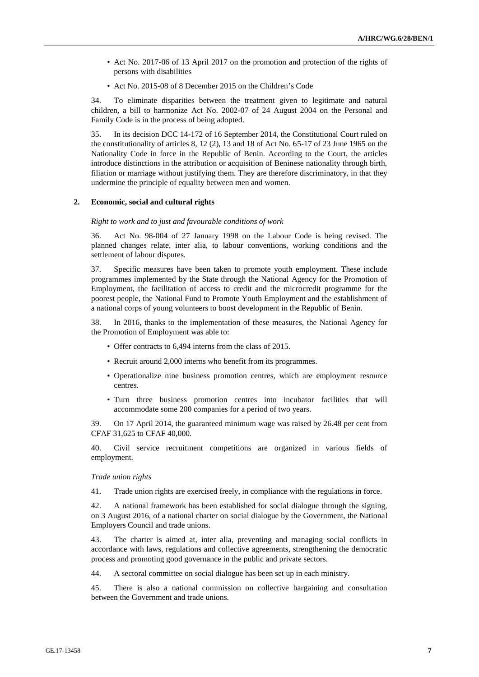- Act No. 2017-06 of 13 April 2017 on the promotion and protection of the rights of persons with disabilities
- Act No. 2015-08 of 8 December 2015 on the Children's Code

34. To eliminate disparities between the treatment given to legitimate and natural children, a bill to harmonize Act No. 2002-07 of 24 August 2004 on the Personal and Family Code is in the process of being adopted.

35. In its decision DCC 14-172 of 16 September 2014, the Constitutional Court ruled on the constitutionality of articles 8, 12 (2), 13 and 18 of Act No. 65-17 of 23 June 1965 on the Nationality Code in force in the Republic of Benin. According to the Court, the articles introduce distinctions in the attribution or acquisition of Beninese nationality through birth, filiation or marriage without justifying them. They are therefore discriminatory, in that they undermine the principle of equality between men and women.

### **2. Economic, social and cultural rights**

#### *Right to work and to just and favourable conditions of work*

36. Act No. 98-004 of 27 January 1998 on the Labour Code is being revised. The planned changes relate, inter alia, to labour conventions, working conditions and the settlement of labour disputes.

37. Specific measures have been taken to promote youth employment. These include programmes implemented by the State through the National Agency for the Promotion of Employment, the facilitation of access to credit and the microcredit programme for the poorest people, the National Fund to Promote Youth Employment and the establishment of a national corps of young volunteers to boost development in the Republic of Benin.

38. In 2016, thanks to the implementation of these measures, the National Agency for the Promotion of Employment was able to:

- Offer contracts to 6,494 interns from the class of 2015.
- Recruit around 2,000 interns who benefit from its programmes.
- Operationalize nine business promotion centres, which are employment resource centres.
- Turn three business promotion centres into incubator facilities that will accommodate some 200 companies for a period of two years.

39. On 17 April 2014, the guaranteed minimum wage was raised by 26.48 per cent from CFAF 31,625 to CFAF 40,000.

40. Civil service recruitment competitions are organized in various fields of employment.

#### *Trade union rights*

41. Trade union rights are exercised freely, in compliance with the regulations in force.

42. A national framework has been established for social dialogue through the signing, on 3 August 2016, of a national charter on social dialogue by the Government, the National Employers Council and trade unions.

43. The charter is aimed at, inter alia, preventing and managing social conflicts in accordance with laws, regulations and collective agreements, strengthening the democratic process and promoting good governance in the public and private sectors.

44. A sectoral committee on social dialogue has been set up in each ministry.

45. There is also a national commission on collective bargaining and consultation between the Government and trade unions.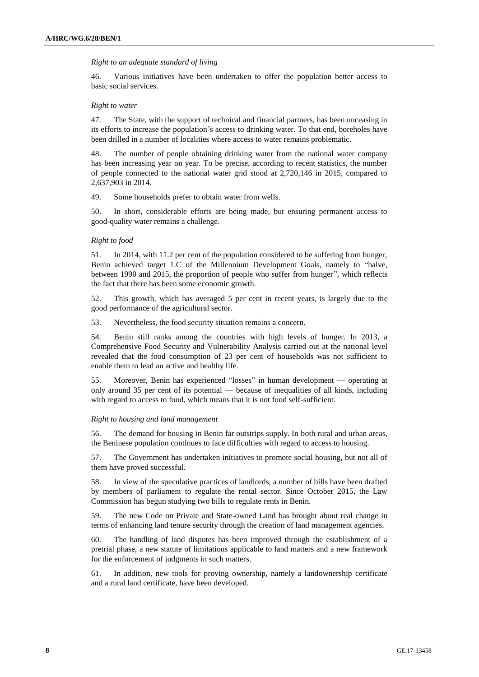#### *Right to an adequate standard of living*

46. Various initiatives have been undertaken to offer the population better access to basic social services.

#### *Right to water*

47. The State, with the support of technical and financial partners, has been unceasing in its efforts to increase the population's access to drinking water. To that end, boreholes have been drilled in a number of localities where access to water remains problematic.

48. The number of people obtaining drinking water from the national water company has been increasing year on year. To be precise, according to recent statistics, the number of people connected to the national water grid stood at 2,720,146 in 2015, compared to 2,637,903 in 2014.

49. Some households prefer to obtain water from wells.

50. In short, considerable efforts are being made, but ensuring permanent access to good-quality water remains a challenge.

### *Right to food*

51. In 2014, with 11.2 per cent of the population considered to be suffering from hunger, Benin achieved target 1.C of the Millennium Development Goals, namely to "halve, between 1990 and 2015, the proportion of people who suffer from hunger", which reflects the fact that there has been some economic growth.

52. This growth, which has averaged 5 per cent in recent years, is largely due to the good performance of the agricultural sector.

53. Nevertheless, the food security situation remains a concern.

54. Benin still ranks among the countries with high levels of hunger. In 2013, a Comprehensive Food Security and Vulnerability Analysis carried out at the national level revealed that the food consumption of 23 per cent of households was not sufficient to enable them to lead an active and healthy life.

55. Moreover, Benin has experienced "losses" in human development — operating at only around 35 per cent of its potential — because of inequalities of all kinds, including with regard to access to food, which means that it is not food self-sufficient.

#### *Right to housing and land management*

56. The demand for housing in Benin far outstrips supply. In both rural and urban areas, the Beninese population continues to face difficulties with regard to access to housing.

57. The Government has undertaken initiatives to promote social housing, but not all of them have proved successful.

58. In view of the speculative practices of landlords, a number of bills have been drafted by members of parliament to regulate the rental sector. Since October 2015, the Law Commission has begun studying two bills to regulate rents in Benin.

59. The new Code on Private and State-owned Land has brought about real change in terms of enhancing land tenure security through the creation of land management agencies.

60. The handling of land disputes has been improved through the establishment of a pretrial phase, a new statute of limitations applicable to land matters and a new framework for the enforcement of judgments in such matters.

61. In addition, new tools for proving ownership, namely a landownership certificate and a rural land certificate, have been developed.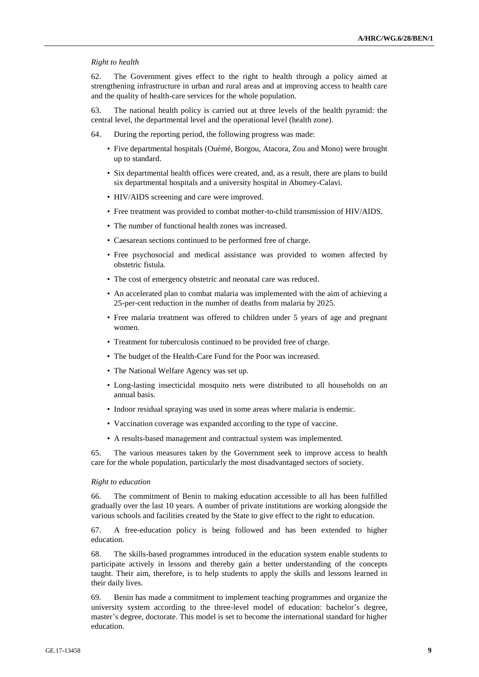#### *Right to health*

62. The Government gives effect to the right to health through a policy aimed at strengthening infrastructure in urban and rural areas and at improving access to health care and the quality of health-care services for the whole population.

63. The national health policy is carried out at three levels of the health pyramid: the central level, the departmental level and the operational level (health zone).

- 64. During the reporting period, the following progress was made:
	- Five departmental hospitals (Ouémé, Borgou, Atacora, Zou and Mono) were brought up to standard.
	- Six departmental health offices were created, and, as a result, there are plans to build six departmental hospitals and a university hospital in Abomey-Calavi.
	- HIV/AIDS screening and care were improved.
	- Free treatment was provided to combat mother-to-child transmission of HIV/AIDS.
	- The number of functional health zones was increased.
	- Caesarean sections continued to be performed free of charge.
	- Free psychosocial and medical assistance was provided to women affected by obstetric fistula.
	- The cost of emergency obstetric and neonatal care was reduced.
	- An accelerated plan to combat malaria was implemented with the aim of achieving a 25-per-cent reduction in the number of deaths from malaria by 2025.
	- Free malaria treatment was offered to children under 5 years of age and pregnant women.
	- Treatment for tuberculosis continued to be provided free of charge.
	- The budget of the Health-Care Fund for the Poor was increased.
	- The National Welfare Agency was set up.
	- Long-lasting insecticidal mosquito nets were distributed to all households on an annual basis.
	- Indoor residual spraying was used in some areas where malaria is endemic.
	- Vaccination coverage was expanded according to the type of vaccine.
	- A results-based management and contractual system was implemented.

65. The various measures taken by the Government seek to improve access to health care for the whole population, particularly the most disadvantaged sectors of society.

#### *Right to education*

66. The commitment of Benin to making education accessible to all has been fulfilled gradually over the last 10 years. A number of private institutions are working alongside the various schools and facilities created by the State to give effect to the right to education.

67. A free-education policy is being followed and has been extended to higher education.

68. The skills-based programmes introduced in the education system enable students to participate actively in lessons and thereby gain a better understanding of the concepts taught. Their aim, therefore, is to help students to apply the skills and lessons learned in their daily lives.

69. Benin has made a commitment to implement teaching programmes and organize the university system according to the three-level model of education: bachelor's degree, master's degree, doctorate. This model is set to become the international standard for higher education.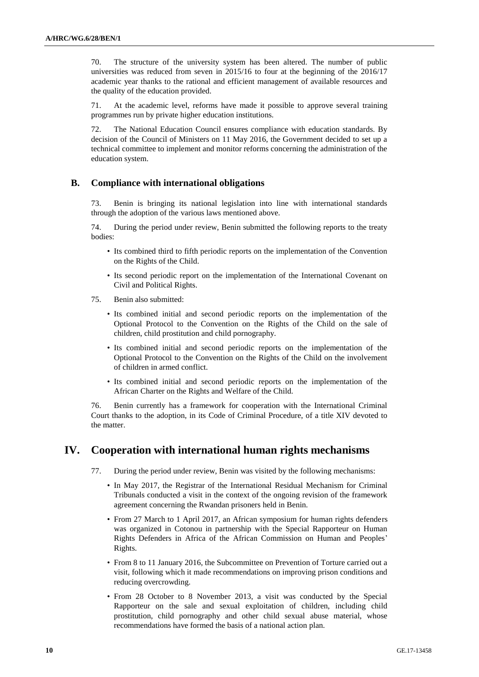70. The structure of the university system has been altered. The number of public universities was reduced from seven in 2015/16 to four at the beginning of the 2016/17 academic year thanks to the rational and efficient management of available resources and the quality of the education provided.

71. At the academic level, reforms have made it possible to approve several training programmes run by private higher education institutions.

72. The National Education Council ensures compliance with education standards. By decision of the Council of Ministers on 11 May 2016, the Government decided to set up a technical committee to implement and monitor reforms concerning the administration of the education system.

## **B. Compliance with international obligations**

73. Benin is bringing its national legislation into line with international standards through the adoption of the various laws mentioned above.

74. During the period under review, Benin submitted the following reports to the treaty bodies:

- Its combined third to fifth periodic reports on the implementation of the Convention on the Rights of the Child.
- Its second periodic report on the implementation of the International Covenant on Civil and Political Rights.
- 75. Benin also submitted:
	- Its combined initial and second periodic reports on the implementation of the Optional Protocol to the Convention on the Rights of the Child on the sale of children, child prostitution and child pornography.
	- Its combined initial and second periodic reports on the implementation of the Optional Protocol to the Convention on the Rights of the Child on the involvement of children in armed conflict.
	- Its combined initial and second periodic reports on the implementation of the African Charter on the Rights and Welfare of the Child.

76. Benin currently has a framework for cooperation with the International Criminal Court thanks to the adoption, in its Code of Criminal Procedure, of a title XIV devoted to the matter.

# **IV. Cooperation with international human rights mechanisms**

- 77. During the period under review, Benin was visited by the following mechanisms:
	- In May 2017, the Registrar of the International Residual Mechanism for Criminal Tribunals conducted a visit in the context of the ongoing revision of the framework agreement concerning the Rwandan prisoners held in Benin.
	- From 27 March to 1 April 2017, an African symposium for human rights defenders was organized in Cotonou in partnership with the Special Rapporteur on Human Rights Defenders in Africa of the African Commission on Human and Peoples' Rights.
	- From 8 to 11 January 2016, the Subcommittee on Prevention of Torture carried out a visit, following which it made recommendations on improving prison conditions and reducing overcrowding.
	- From 28 October to 8 November 2013, a visit was conducted by the Special Rapporteur on the sale and sexual exploitation of children, including child prostitution, child pornography and other child sexual abuse material, whose recommendations have formed the basis of a national action plan.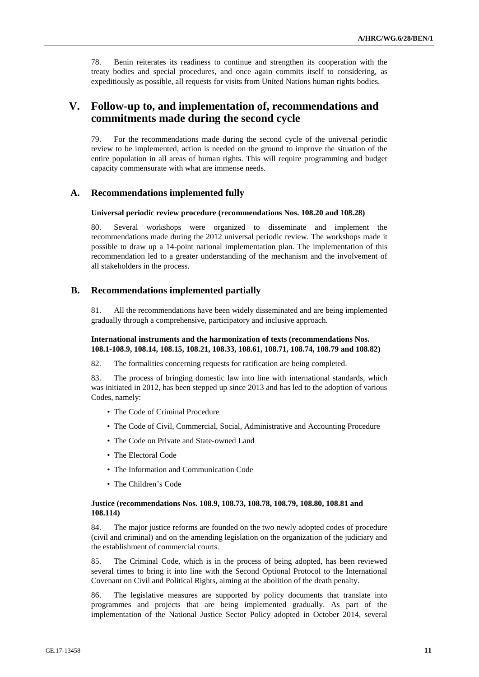78. Benin reiterates its readiness to continue and strengthen its cooperation with the treaty bodies and special procedures, and once again commits itself to considering, as expeditiously as possible, all requests for visits from United Nations human rights bodies.

# **V. Follow-up to, and implementation of, recommendations and commitments made during the second cycle**

79. For the recommendations made during the second cycle of the universal periodic review to be implemented, action is needed on the ground to improve the situation of the entire population in all areas of human rights. This will require programming and budget capacity commensurate with what are immense needs.

## **A. Recommendations implemented fully**

#### **Universal periodic review procedure (recommendations Nos. 108.20 and 108.28)**

80. Several workshops were organized to disseminate and implement the recommendations made during the 2012 universal periodic review. The workshops made it possible to draw up a 14-point national implementation plan. The implementation of this recommendation led to a greater understanding of the mechanism and the involvement of all stakeholders in the process.

## **B. Recommendations implemented partially**

81. All the recommendations have been widely disseminated and are being implemented gradually through a comprehensive, participatory and inclusive approach.

### **International instruments and the harmonization of texts (recommendations Nos. 108.1-108.9, 108.14, 108.15, 108.21, 108.33, 108.61, 108.71, 108.74, 108.79 and 108.82)**

82. The formalities concerning requests for ratification are being completed.

83. The process of bringing domestic law into line with international standards, which was initiated in 2012, has been stepped up since 2013 and has led to the adoption of various Codes, namely:

- The Code of Criminal Procedure
- The Code of Civil, Commercial, Social, Administrative and Accounting Procedure
- The Code on Private and State-owned Land
- The Electoral Code
- The Information and Communication Code
- The Children's Code

### **Justice (recommendations Nos. 108.9, 108.73, 108.78, 108.79, 108.80, 108.81 and 108.114)**

84. The major justice reforms are founded on the two newly adopted codes of procedure (civil and criminal) and on the amending legislation on the organization of the judiciary and the establishment of commercial courts.

85. The Criminal Code, which is in the process of being adopted, has been reviewed several times to bring it into line with the Second Optional Protocol to the International Covenant on Civil and Political Rights, aiming at the abolition of the death penalty.

86. The legislative measures are supported by policy documents that translate into programmes and projects that are being implemented gradually. As part of the implementation of the National Justice Sector Policy adopted in October 2014, several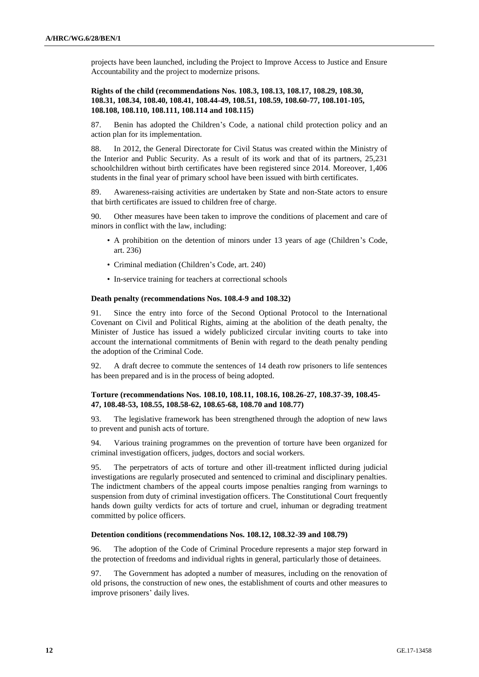projects have been launched, including the Project to Improve Access to Justice and Ensure Accountability and the project to modernize prisons.

### **Rights of the child (recommendations Nos. 108.3, 108.13, 108.17, 108.29, 108.30, 108.31, 108.34, 108.40, 108.41, 108.44-49, 108.51, 108.59, 108.60-77, 108.101-105, 108.108, 108.110, 108.111, 108.114 and 108.115)**

87. Benin has adopted the Children's Code, a national child protection policy and an action plan for its implementation.

88. In 2012, the General Directorate for Civil Status was created within the Ministry of the Interior and Public Security. As a result of its work and that of its partners, 25,231 schoolchildren without birth certificates have been registered since 2014. Moreover, 1,406 students in the final year of primary school have been issued with birth certificates.

89. Awareness-raising activities are undertaken by State and non-State actors to ensure that birth certificates are issued to children free of charge.

90. Other measures have been taken to improve the conditions of placement and care of minors in conflict with the law, including:

- A prohibition on the detention of minors under 13 years of age (Children's Code, art. 236)
- Criminal mediation (Children's Code, art. 240)
- In-service training for teachers at correctional schools

### **Death penalty (recommendations Nos. 108.4-9 and 108.32)**

91. Since the entry into force of the Second Optional Protocol to the International Covenant on Civil and Political Rights, aiming at the abolition of the death penalty, the Minister of Justice has issued a widely publicized circular inviting courts to take into account the international commitments of Benin with regard to the death penalty pending the adoption of the Criminal Code.

92. A draft decree to commute the sentences of 14 death row prisoners to life sentences has been prepared and is in the process of being adopted.

### **Torture (recommendations Nos. 108.10, 108.11, 108.16, 108.26-27, 108.37-39, 108.45- 47, 108.48-53, 108.55, 108.58-62, 108.65-68, 108.70 and 108.77)**

93. The legislative framework has been strengthened through the adoption of new laws to prevent and punish acts of torture.

94. Various training programmes on the prevention of torture have been organized for criminal investigation officers, judges, doctors and social workers.

95. The perpetrators of acts of torture and other ill-treatment inflicted during judicial investigations are regularly prosecuted and sentenced to criminal and disciplinary penalties. The indictment chambers of the appeal courts impose penalties ranging from warnings to suspension from duty of criminal investigation officers. The Constitutional Court frequently hands down guilty verdicts for acts of torture and cruel, inhuman or degrading treatment committed by police officers.

### **Detention conditions (recommendations Nos. 108.12, 108.32-39 and 108.79)**

96. The adoption of the Code of Criminal Procedure represents a major step forward in the protection of freedoms and individual rights in general, particularly those of detainees.

97. The Government has adopted a number of measures, including on the renovation of old prisons, the construction of new ones, the establishment of courts and other measures to improve prisoners' daily lives.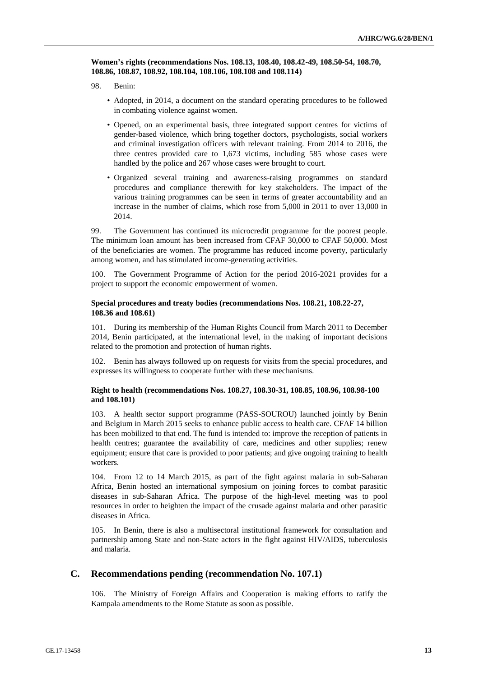**Women's rights (recommendations Nos. 108.13, 108.40, 108.42-49, 108.50-54, 108.70, 108.86, 108.87, 108.92, 108.104, 108.106, 108.108 and 108.114)**

98. Benin:

- Adopted, in 2014, a document on the standard operating procedures to be followed in combating violence against women.
- Opened, on an experimental basis, three integrated support centres for victims of gender-based violence, which bring together doctors, psychologists, social workers and criminal investigation officers with relevant training. From 2014 to 2016, the three centres provided care to 1,673 victims, including 585 whose cases were handled by the police and 267 whose cases were brought to court.
- Organized several training and awareness-raising programmes on standard procedures and compliance therewith for key stakeholders. The impact of the various training programmes can be seen in terms of greater accountability and an increase in the number of claims, which rose from 5,000 in 2011 to over 13,000 in 2014.

99. The Government has continued its microcredit programme for the poorest people. The minimum loan amount has been increased from CFAF 30,000 to CFAF 50,000. Most of the beneficiaries are women. The programme has reduced income poverty, particularly among women, and has stimulated income-generating activities.

100. The Government Programme of Action for the period 2016-2021 provides for a project to support the economic empowerment of women.

### **Special procedures and treaty bodies (recommendations Nos. 108.21, 108.22-27, 108.36 and 108.61)**

101. During its membership of the Human Rights Council from March 2011 to December 2014, Benin participated, at the international level, in the making of important decisions related to the promotion and protection of human rights.

102. Benin has always followed up on requests for visits from the special procedures, and expresses its willingness to cooperate further with these mechanisms.

### **Right to health (recommendations Nos. 108.27, 108.30-31, 108.85, 108.96, 108.98-100 and 108.101)**

103. A health sector support programme (PASS-SOUROU) launched jointly by Benin and Belgium in March 2015 seeks to enhance public access to health care. CFAF 14 billion has been mobilized to that end. The fund is intended to: improve the reception of patients in health centres; guarantee the availability of care, medicines and other supplies; renew equipment; ensure that care is provided to poor patients; and give ongoing training to health workers.

104. From 12 to 14 March 2015, as part of the fight against malaria in sub-Saharan Africa, Benin hosted an international symposium on joining forces to combat parasitic diseases in sub-Saharan Africa. The purpose of the high-level meeting was to pool resources in order to heighten the impact of the crusade against malaria and other parasitic diseases in Africa.

In Benin, there is also a multisectoral institutional framework for consultation and partnership among State and non-State actors in the fight against HIV/AIDS, tuberculosis and malaria.

## **C. Recommendations pending (recommendation No. 107.1)**

106. The Ministry of Foreign Affairs and Cooperation is making efforts to ratify the Kampala amendments to the Rome Statute as soon as possible.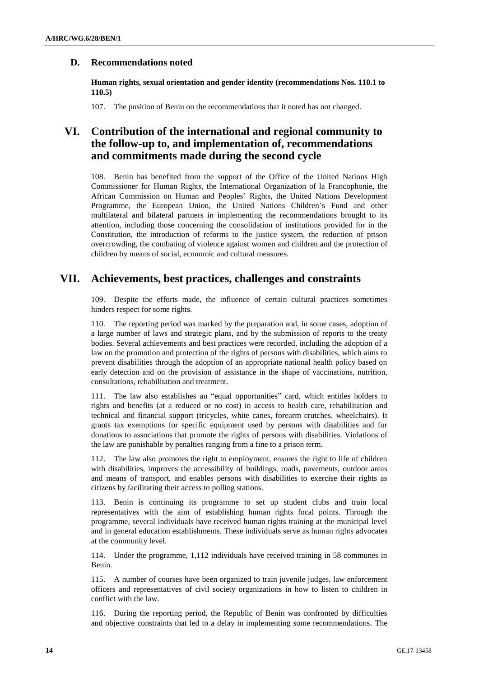## **D. Recommendations noted**

**Human rights, sexual orientation and gender identity (recommendations Nos. 110.1 to 110.5)**

107. The position of Benin on the recommendations that it noted has not changed.

# **VI. Contribution of the international and regional community to the follow-up to, and implementation of, recommendations and commitments made during the second cycle**

108. Benin has benefited from the support of the Office of the United Nations High Commissioner for Human Rights, the International Organization of la Francophonie, the African Commission on Human and Peoples' Rights, the United Nations Development Programme, the European Union, the United Nations Children's Fund and other multilateral and bilateral partners in implementing the recommendations brought to its attention, including those concerning the consolidation of institutions provided for in the Constitution, the introduction of reforms to the justice system, the reduction of prison overcrowding, the combating of violence against women and children and the protection of children by means of social, economic and cultural measures.

# **VII. Achievements, best practices, challenges and constraints**

109. Despite the efforts made, the influence of certain cultural practices sometimes hinders respect for some rights.

110. The reporting period was marked by the preparation and, in some cases, adoption of a large number of laws and strategic plans, and by the submission of reports to the treaty bodies. Several achievements and best practices were recorded, including the adoption of a law on the promotion and protection of the rights of persons with disabilities, which aims to prevent disabilities through the adoption of an appropriate national health policy based on early detection and on the provision of assistance in the shape of vaccinations, nutrition, consultations, rehabilitation and treatment.

111. The law also establishes an "equal opportunities" card, which entitles holders to rights and benefits (at a reduced or no cost) in access to health care, rehabilitation and technical and financial support (tricycles, white canes, forearm crutches, wheelchairs). It grants tax exemptions for specific equipment used by persons with disabilities and for donations to associations that promote the rights of persons with disabilities. Violations of the law are punishable by penalties ranging from a fine to a prison term.

112. The law also promotes the right to employment, ensures the right to life of children with disabilities, improves the accessibility of buildings, roads, pavements, outdoor areas and means of transport, and enables persons with disabilities to exercise their rights as citizens by facilitating their access to polling stations.

113. Benin is continuing its programme to set up student clubs and train local representatives with the aim of establishing human rights focal points. Through the programme, several individuals have received human rights training at the municipal level and in general education establishments. These individuals serve as human rights advocates at the community level.

114. Under the programme, 1,112 individuals have received training in 58 communes in Benin.

115. A number of courses have been organized to train juvenile judges, law enforcement officers and representatives of civil society organizations in how to listen to children in conflict with the law.

116. During the reporting period, the Republic of Benin was confronted by difficulties and objective constraints that led to a delay in implementing some recommendations. The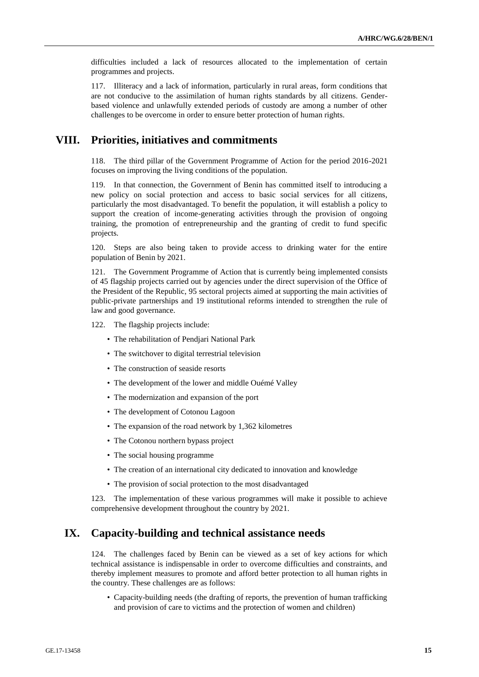difficulties included a lack of resources allocated to the implementation of certain programmes and projects.

117. Illiteracy and a lack of information, particularly in rural areas, form conditions that are not conducive to the assimilation of human rights standards by all citizens. Genderbased violence and unlawfully extended periods of custody are among a number of other challenges to be overcome in order to ensure better protection of human rights.

# **VIII. Priorities, initiatives and commitments**

118. The third pillar of the Government Programme of Action for the period 2016-2021 focuses on improving the living conditions of the population.

119. In that connection, the Government of Benin has committed itself to introducing a new policy on social protection and access to basic social services for all citizens, particularly the most disadvantaged. To benefit the population, it will establish a policy to support the creation of income-generating activities through the provision of ongoing training, the promotion of entrepreneurship and the granting of credit to fund specific projects.

120. Steps are also being taken to provide access to drinking water for the entire population of Benin by 2021.

121. The Government Programme of Action that is currently being implemented consists of 45 flagship projects carried out by agencies under the direct supervision of the Office of the President of the Republic, 95 sectoral projects aimed at supporting the main activities of public-private partnerships and 19 institutional reforms intended to strengthen the rule of law and good governance.

122. The flagship projects include:

- The rehabilitation of Pendjari National Park
- The switchover to digital terrestrial television
- The construction of seaside resorts
- The development of the lower and middle Ouémé Valley
- The modernization and expansion of the port
- The development of Cotonou Lagoon
- The expansion of the road network by 1,362 kilometres
- The Cotonou northern bypass project
- The social housing programme
- The creation of an international city dedicated to innovation and knowledge
- The provision of social protection to the most disadvantaged

123. The implementation of these various programmes will make it possible to achieve comprehensive development throughout the country by 2021.

## **IX. Capacity-building and technical assistance needs**

124. The challenges faced by Benin can be viewed as a set of key actions for which technical assistance is indispensable in order to overcome difficulties and constraints, and thereby implement measures to promote and afford better protection to all human rights in the country. These challenges are as follows:

• Capacity-building needs (the drafting of reports, the prevention of human trafficking and provision of care to victims and the protection of women and children)